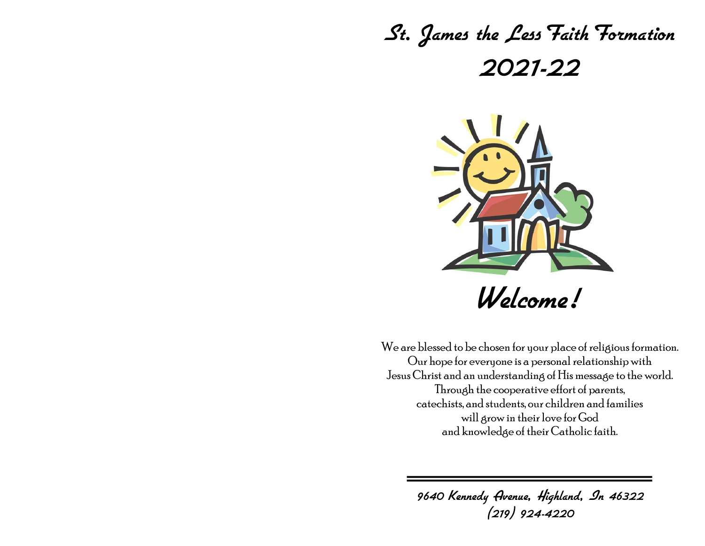# St. James the Less Faith Formation 2021-22



We are blessed to be chosen for your place of religious formation. Our hope for everyone is a personal relationship with Jesus Christ and an understanding of His message to the world. Through the cooperative effort of parents, catechists, and students, our children and families will grow in their love for God and knowledge of their Catholic faith.

> 9640 Kennedy Avenue, Highland, In 46322 (219) 924-4220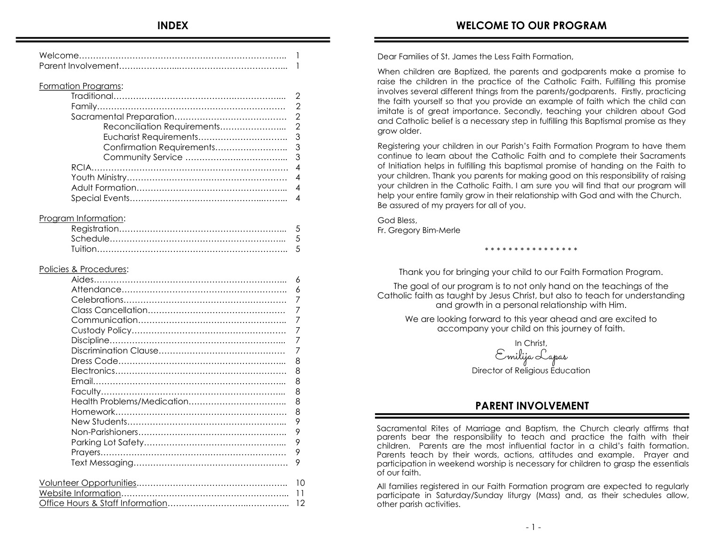#### Formation Programs:

#### Program Information:

#### Policies & Procedures:

| 6  |
|----|
| 6  |
| 7  |
| 7  |
| 7  |
| 7  |
| 7  |
| 7  |
| 8  |
| 8  |
| 8  |
| 8  |
| 8  |
| 8  |
| 9  |
| 9  |
| 9  |
| 9  |
| 9  |
|    |
| 10 |
| 11 |
| 12 |
|    |

Dear Families of St. James the Less Faith Formation,

When children are Baptized, the parents and godparents make a promise to raise the children in the practice of the Catholic Faith. Fulfilling this promise involves several different things from the parents/godparents. Firstly, practicing the faith yourself so that you provide an example of faith which the child can imitate is of great importance. Secondly, teaching your children about God and Catholic belief is a necessary step in fulfilling this Baptismal promise as they grow older.

Registering your children in our Parish's Faith Formation Program to have them continue to learn about the Catholic Faith and to complete their Sacraments of Initiation helps in fulfilling this baptismal promise of handing on the Faith to your children. Thank you parents for making good on this responsibility of raising your children in the Catholic Faith. I am sure you will find that our program will help your entire family grow in their relationship with God and with the Church. Be assured of my prayers for all of you.

God Bless, Fr. Gregory Bim-Merle

Thank you for bringing your child to our Faith Formation Program.

\* \* \* \* \* \* \* \* \* \* \* \* \* \* \* \*

The goal of our program is to not only hand on the teachings of the Catholic faith as taught by Jesus Christ, but also to teach for understanding and growth in a personal relationship with Him.

We are looking forward to this year ahead and are excited to accompany your child on this journey of faith.

In Christ, Emilija Lapas Director of Religious Education

## **PARENT INVOLVEMENT**

Sacramental Rites of Marriage and Baptism, the Church clearly affirms that parents bear the responsibility to teach and practice the faith with their children. Parents are the most influential factor in a child's faith formation. Parents teach by their words, actions, attitudes and example. Prayer and participation in weekend worship is necessary for children to grasp the essentials of our faith.

All families registered in our Faith Formation program are expected to regularly participate in Saturday/Sunday liturgy (Mass) and, as their schedules allow, other parish activities.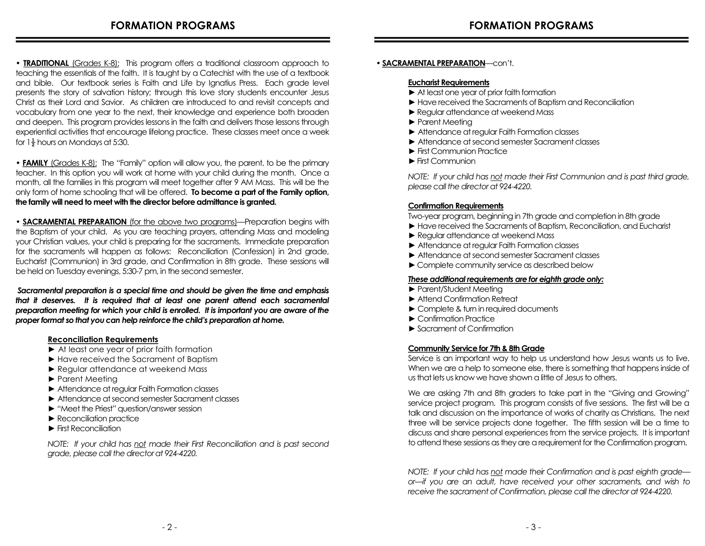• **TRADITIONAL** (Grades K-8): This program offers a traditional classroom approach to teaching the essentials of the faith. It is taught by a Catechist with the use of a textbook and bible. Our textbook series is Faith and Life by Ignatius Press. Each grade level presents the story of salvation history; through this love story students encounter Jesus Christ as their Lord and Savior. As children are introduced to and revisit concepts and vocabulary from one year to the next, their knowledge and experience both broaden and deepen. This program provides lessons in the faith and delivers those lessons through experiential activities that encourage lifelong practice. These classes meet once a week for  $1\frac{1}{2}$  hours on Mondays at 5:30.

**• FAMILY** (Grades K-8): The "Family" option will allow you, the parent, to be the primary teacher. In this option you will work at home with your child during the month. Once a month, all the families in this program will meet together after 9 AM Mass. This will be the only form of home schooling that will be offered. **To become a part of the Family option, the family will need to meet with the director before admittance is granted.**

**• SACRAMENTAL PREPARATION** (for the above two programs)—Preparation begins with the Baptism of your child. As you are teaching prayers, attending Mass and modeling your Christian values, your child is preparing for the sacraments. Immediate preparation for the sacraments will happen as follows: Reconciliation (Confession) in 2nd grade, Eucharist (Communion) in 3rd grade, and Confirmation in 8th grade. These sessions will be held on Tuesday evenings, 5:30-7 pm, in the second semester.

*Sacramental preparation is a special time and should be given the time and emphasis that it deserves. It is required that at least one parent attend each sacramental preparation meeting for which your child is enrolled. It is important you are aware of the proper format so that you can help reinforce the child's preparation at home.* 

#### **Reconciliation Requirements**

- ► At least one year of prior faith formation
- ► Have received the Sacrament of Baptism
- ► Regular attendance at weekend Mass
- ► Parent Meeting
- ► Attendance at regular Faith Formation classes
- ► Attendance at second semester Sacrament classes
- ► "Meet the Priest" question/answer session
- ► Reconciliation practice
- ► First Reconciliation

*NOTE: If your child has not made their First Reconciliation and is past second grade, please call the director at 924-4220.*

#### **• SACRAMENTAL PREPARATION**—con't.

#### **Eucharist Requirements**

- **►** At least one year of prior faith formation
- **►** Have received the Sacraments of Baptism and Reconciliation
- ► Regular attendance at weekend Mass
- ► Parent Meeting
- ► Attendance at regular Faith Formation classes
- ► Attendance at second semester Sacrament classes
- ► First Communion Practice
- ►First Communion

*NOTE: If your child has not made their First Communion and is past third grade, please call the director at 924-4220.*

#### **Confirmation Requirements**

Two-year program, beginning in 7th grade and completion in 8th grade

- **►** Have received the Sacraments of Baptism, Reconciliation, and Eucharist
- ► Regular attendance at weekend Mass
- *►* Attendance at regular Faith Formation classes
- ► Attendance at second semester Sacrament classes
- ►Complete community service as described below

#### *These additional requirements are for eighth grade only:*

- ► Parent/Student Meeting
- ► Attend Confirmation Retreat
- ► Complete & turn in required documents
- ► Confirmation Practice
- ► Sacrament of Confirmation

#### **Community Service for 7th & 8th Grade**

Service is an important way to help us understand how Jesus wants us to live. When we are a help to someone else, there is something that happens inside of us that lets us know we have shown a little of Jesus to others.

We are asking 7th and 8th graders to take part in the "Giving and Growing" service project program. This program consists of five sessions. The first will be a talk and discussion on the importance of works of charity as Christians. The next three will be service projects done together. The fifth session will be a time to discuss and share personal experiences from the service projects. It is important to attend these sessions as they are a requirement for the Confirmation program.

*NOTE: If your child has not made their Confirmation and is past eighth grade or—if you are an adult, have received your other sacraments, and wish to receive the sacrament of Confirmation, please call the director at 924-4220.*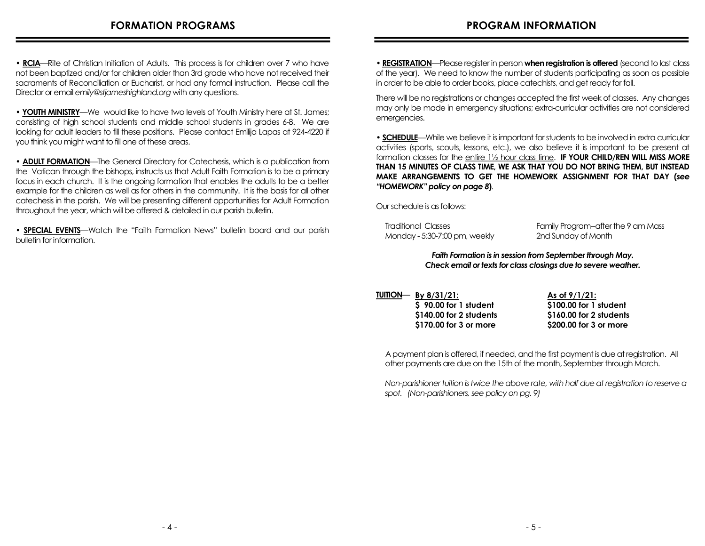**• RCIA**—Rite of Christian Initiation of Adults. This process is for children over 7 who have not been baptized and/or for children older than 3rd grade who have not received their sacraments of Reconciliation or Eucharist, or had any formal instruction. Please call the Director or email *emily@stjameshighland.org* with any questions.

**• YOUTH MINISTRY**—We would like to have two levels of Youth Ministry here at St. James; consisting of high school students and middle school students in grades 6-8. We are looking for adult leaders to fill these positions. Please contact Emilija Lapas at 924-4220 if you think you might want to fill one of these areas.

**• ADULT FORMATION**—The General Directory for Catechesis, which is a publication from the Vatican through the bishops, instructs us that Adult Faith Formation is to be a primary focus in each church. It is the ongoing formation that enables the adults to be a better example for the children as well as for others in the community. It is the basis for all other catechesis in the parish. We will be presenting different opportunities for Adult Formation throughout the year, which will be offered & detailed in our parish bulletin.

**• SPECIAL EVENTS**—Watch the "Faith Formation News" bulletin board and our parish bulletin for information.

• **REGISTRATION**—Please register in person **when registration is offered** (second to last class of the year). We need to know the number of students participating as soon as possible in order to be able to order books, place catechists, and get ready for fall.

There will be no registrations or changes accepted the first week of classes. Any changes may only be made in emergency situations; extra-curricular activities are not considered emergencies.

**• SCHEDULE**—While we believe it is important for students to be involved in extra curricular activities (sports, scouts, lessons, etc.), we also believe it is important to be present at formation classes for the entire 1½ hour class time. **IF YOUR CHILD/REN WILL MISS MORE THAN 15 MINUTES OF CLASS TIME, WE ASK THAT YOU DO NOT BRING THEM, BUT INSTEAD MAKE ARRANGEMENTS TO GET THE HOMEWORK ASSIGNMENT FOR THAT DAY (***see "HOMEWORK" policy on page 8***)**.

Our schedule is as follows:

| Traditional Classes           | Family Program-after the 9 am Mass |
|-------------------------------|------------------------------------|
| Monday - 5:30-7:00 pm, weekly | 2nd Sunday of Month                |

*Faith Formation is in session from September through May. Check email or texts for class closings due to severe weather.*

**TUITION**— **By 8/31/21: \$ 90.00 for 1 student \$140.00 for 2 students \$170.00 for 3 or more** 

**As of 9/1/21: \$100.00 for 1 student \$160.00 for 2 students \$200.00 for 3 or more** 

 A payment plan is offered, if needed, and the first payment is due at registration. All other payments are due on the 15th of the month, September through March.

 *Non-parishioner tuition is twice the above rate, with half due at registration to reserve a spot. (Non-parishioners, see policy on pg. 9)*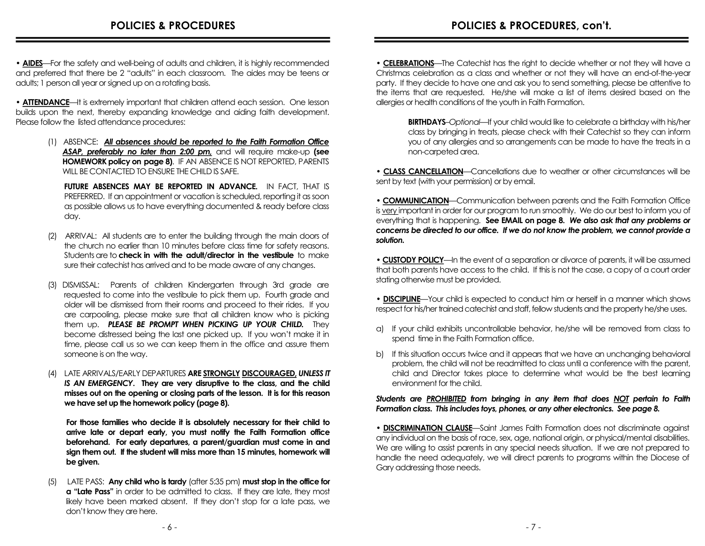• **AIDES**—For the safety and well-being of adults and children, it is highly recommended and preferred that there be 2 "adults" in each classroom. The aides may be teens or adults; 1 person all year or signed up on a rotating basis.

• **ATTENDANCE**—It is extremely important that children attend each session. One lesson builds upon the next, thereby expanding knowledge and aiding faith development. Please follow the listed attendance procedures:

> (1) ABSENCE: *All absences should be reported to the Faith Formation Office ASAP, preferably no later than 2:00 pm,* and will require make-up **(see HOMEWORK policy on page 8)**. IF AN ABSENCE IS NOT REPORTED, PARENTS WILL BE CONTACTED TO ENSURE THE CHILD IS SAFE.

 **FUTURE ABSENCES MAY BE REPORTED IN ADVANCE.** IN FACT, THAT IS PREFERRED. If an appointment or vacation is scheduled, reporting it as soon as possible allows us to have everything documented & ready before class day.

- (2) ARRIVAL: All students are to enter the building through the main doors of the church no earlier than 10 minutes before class time for safety reasons. Students are to **check in with the adult/director in the vestibule** to make sure their catechist has arrived and to be made aware of any changes.
- (3) DISMISSAL: Parents of children Kindergarten through 3rd grade are requested to come into the vestibule to pick them up. Fourth grade and older will be dismissed from their rooms and proceed to their rides. If you are carpooling, please make sure that all children know who is picking them up. *PLEASE BE PROMPT WHEN PICKING UP YOUR CHILD.* They become distressed being the last one picked up. If you won't make it in time, please call us so we can keep them in the office and assure them someone is on the way.
- (4) LATE ARRIVALS/EARLY DEPARTURES **ARE STRONGLY DISCOURAGED,** *UNLESS IT IS AN EMERGENCY***. They are very disruptive to the class, and the child misses out on the opening or closing parts of the lesson. It is for this reason we have set up the homework policy (page 8).**

 **For those families who decide it is absolutely necessary for their child to arrive late or depart early, you must notify the Faith Formation office beforehand. For early departures, a parent/guardian must come in and sign them out. If the student will miss more than 15 minutes, homework will be given.** 

(5)LATE PASS: **Any child who is tardy** (after 5:35 pm) **must stop in the office for a** "Late Pass" in order to be admitted to class. If they are late, they most likely have been marked absent. If they don't stop for a late pass, we don't know they are here.

• **CELEBRATIONS**—The Catechist has the right to decide whether or not they will have a Christmas celebration as a class and whether or not they will have an end-of-the-year party. If they decide to have one and ask you to send something, please be attentive to the items that are requested. He/she will make a list of items desired based on the allergies or health conditions of the youth in Faith Formation.

**BIRTHDAYS**–*Optional*—If your child would like to celebrate a birthday with his/her class by bringing in treats, please check with their Catechist so they can inform you of any allergies and so arrangements can be made to have the treats in a non-carpeted area.

• **CLASS CANCELLATION**—Cancellations due to weather or other circumstances will be sent by text (with your permission) or by email.

• **COMMUNICATION**—Communication between parents and the Faith Formation Office is very important in order for our program to run smoothly. We do our best to inform you of everything that is happening. **See EMAIL on page 8.** *We also ask that any problems or concerns be directed to our office. If we do not know the problem, we cannot provide a solution.*

• **CUSTODY POLICY**—In the event of a separation or divorce of parents, it will be assumed that both parents have access to the child. If this is not the case, a copy of a court order stating otherwise must be provided.

• **DISCIPLINE**—Your child is expected to conduct him or herself in a manner which shows respect for his/her trained catechist and staff, fellow students and the property he/she uses.

- a) If your child exhibits uncontrollable behavior, he/she will be removed from class to spend time in the Faith Formation office.
- b) If this situation occurs twice and it appears that we have an unchanging behavioral problem, the child will not be readmitted to class until a conference with the parent, child and Director takes place to determine what would be the best learning environment for the child.

*Students are PROHIBITED from bringing in any item that does NOT pertain to Faith Formation class. This includes toys, phones, or any other electronics. See page 8.*

**• DISCRIMINATION CLAUSE**—Saint James Faith Formation does not discriminate against any individual on the basis of race, sex, age, national origin, or physical/mental disabilities. We are willing to assist parents in any special needs situation. If we are not prepared to handle the need adequately, we will direct parents to programs within the Diocese of Gary addressing those needs.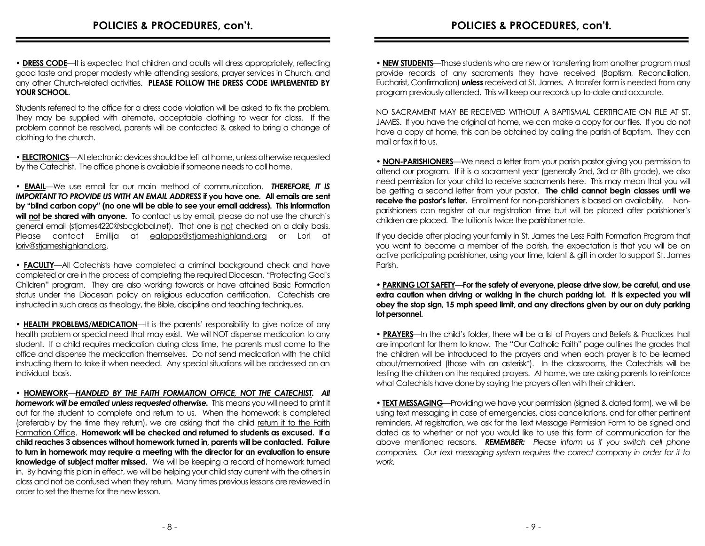• **DRESS CODE**—It is expected that children and adults will dress appropriately, reflecting good taste and proper modesty while attending sessions, prayer services in Church, and any other Church-related activities. **PLEASE FOLLOW THE DRESS CODE IMPLEMENTED BY YOUR SCHOOL.**

Students referred to the office for a dress code violation will be asked to fix the problem. They may be supplied with alternate, acceptable clothing to wear for class. If the problem cannot be resolved, parents will be contacted & asked to bring a change of clothing to the church.

• **ELECTRONICS**—All electronic devices should be left at home, unless otherwise requested by the Catechist. The office phone is available if someone needs to call home.

• **EMAIL**—We use email for our main method of communication. *THEREFORE, IT IS IMPORTANT TO PROVIDE US WITH AN EMAIL ADDRESS* **if you have one. All emails are sent by "blind carbon copy" (no one will be able to see your email address). This information**  will not be shared with anyone. To contact us by email, please do not use the church's general email (stjames4220@sbcglobal.net). That one is not checked on a daily basis. Please contact Emilija at ealapas@stjameshighland.org or Lori at loriv@stjameshighland.org.

• **FACULTY**—All Catechists have completed a criminal background check and have completed or are in the process of completing the required Diocesan, "Protecting God's Children" program. They are also working towards or have attained Basic Formation status under the Diocesan policy on religious education certification. Catechists are instructed in such areas as theology, the Bible, discipline and teaching techniques.

• **HEALTH PROBLEMS/MEDICATION**—It is the parents' responsibility to give notice of any health problem or special need that may exist. We will NOT dispense medication to any student. If a child requires medication during class time, the parents must come to the office and dispense the medication themselves. Do not send medication with the child instructing them to take it when needed. Any special situations will be addressed on an individual basis.

• **HOMEWORK**—*HANDLED BY THE FAITH FORMATION OFFICE, NOT THE CATECHIST. All*  **homework will be emailed unless requested otherwise.** This means you will need to print it out for the student to complete and return to us. When the homework is completed (preferably by the time they return), we are asking that the child return it to the Faith Formation Office. **Homework will be checked and returned to students as excused. If a child reaches 3 absences without homework turned in, parents will be contacted. Failure to turn in homework may require a meeting with the director for an evaluation to ensure knowledge of subject matter missed.** We will be keeping a record of homework turned in. By having this plan in effect, we will be helping your child stay current with the others in class and not be confused when they return. Many times previous lessons are reviewed in order to set the theme for the new lesson.

**• NEW STUDENTS**—Those students who are new or transferring from another program must provide records of any sacraments they have received (Baptism, Reconciliation, Eucharist, Confirmation) *unless* received at St. James. A transfer form is needed from any program previously attended. This will keep our records up-to-date and accurate.

NO SACRAMENT MAY BE RECEIVED WITHOUT A BAPTISMAL CERTIFICATE ON FILE AT ST. JAMES. If you have the original at home, we can make a copy for our files. If you do not have a copy at home, this can be obtained by calling the parish of Baptism. They can mail or fax it to us.

• **NON-PARISHIONERS**—We need a letter from your parish pastor giving you permission to attend our program. If it is a sacrament year (generally 2nd, 3rd or 8th grade), we also need permission for your child to receive sacraments here. This may mean that you will be getting a second letter from your pastor. **The child cannot begin classes until we receive the pastor's letter.** Enrollment for non-parishioners is based on availability. Nonparishioners can register at our registration time but will be placed after parishioner's children are placed. The tuition is twice the parishioner rate.

If you decide after placing your family in St. James the Less Faith Formation Program that you want to become a member of the parish, the expectation is that you will be an active participating parishioner, using your time, talent & gift in order to support St. James Parish.

#### • **PARKING LOT SAFETY**—**For the safety of everyone, please drive slow, be careful, and use extra caution when driving or walking in the church parking lot. It is expected you will obey the stop sign, 15 mph speed limit, and any directions given by our on duty parking lot personnel.**

• **PRAYERS**—In the child's folder, there will be a list of Prayers and Beliefs & Practices that are important for them to know. The "Our Catholic Faith" page outlines the grades that the children will be introduced to the prayers and when each prayer is to be learned about/memorized (those with an asterisk\*). In the classrooms, the Catechists will be testing the children on the required prayers. At home, we are asking parents to reinforce what Catechists have done by saying the prayers often with their children.

• **TEXT MESSAGING**—Providing we have your permission (signed & dated form), we will be using text messaging in case of emergencies, class cancellations, and for other pertinent reminders. At registration, we ask for the Text Message Permission Form to be signed and dated as to whether or not you would like to use this form of communication for the above mentioned reasons. *REMEMBER: Please inform us if you switch cell phone companies. Our text messaging system requires the correct company in order for it to work.*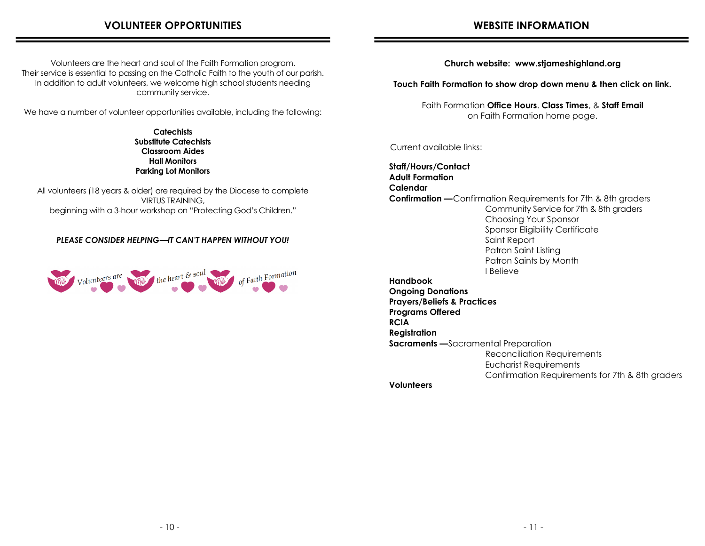## **VOLUNTEER OPPORTUNITIES**

Volunteers are the heart and soul of the Faith Formation program. Their service is essential to passing on the Catholic Faith to the youth of our parish. In addition to adult volunteers, we welcome high school students needing community service.

We have a number of volunteer opportunities available, including the following:

**Catechists Substitute Catechists Classroom Aides Hall Monitors Parking Lot Monitors** 

All volunteers (18 years & older) are required by the Diocese to complete VIRTUS TRAINING, beginning with a 3-hour workshop on "Protecting God's Children."

### *PLEASE CONSIDER HELPING—IT CAN'T HAPPEN WITHOUT YOU!*



**Church website: www.stjameshighland.org**

**Touch Faith Formation to show drop down menu & then click on link.**

Faith Formation **Office Hours**. **Class Times**, & **Staff Email** on Faith Formation home page.

Current available links:

**Staff/Hours/Contact Adult Formation Calendar Confirmation —**Confirmation Requirements for 7th & 8th graders Community Service for 7th & 8th graders Choosing Your Sponsor Sponsor Eligibility Certificate Saint Report Patron Saint Listing Patron Saints by Month I Believe **Handbook Ongoing Donations Prayers/Beliefs & Practices Programs Offered RCIA Registration Sacraments —**Sacramental Preparation Reconciliation Requirements Eucharist Requirements Confirmation Requirements for 7th & 8th graders **Volunteers**